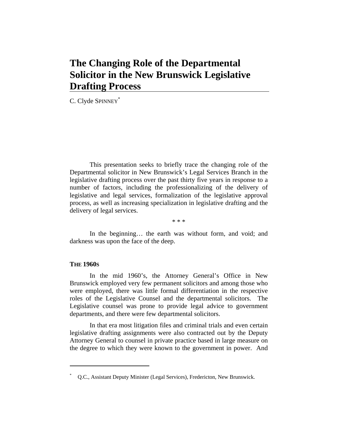# **The Changing Role of the Departmental Solicitor in the New Brunswick Legislative Drafting Process**

C. Clyde SPINNEY\*

This presentation seeks to briefly trace the changing role of the Departmental solicitor in New Brunswick's Legal Services Branch in the legislative drafting process over the past thirty five years in response to a number of factors, including the professionalizing of the delivery of legislative and legal services, formalization of the legislative approval process, as well as increasing specialization in legislative drafting and the delivery of legal services.

\* \* \*

In the beginning... the earth was without form, and void; and darkness was upon the face of the deep.

## **THE 1960S**

 $\overline{a}$ 

In the mid 1960's, the Attorney General's Office in New Brunswick employed very few permanent solicitors and among those who were employed, there was little formal differentiation in the respective roles of the Legislative Counsel and the departmental solicitors. The Legislative counsel was prone to provide legal advice to government departments, and there were few departmental solicitors.

In that era most litigation files and criminal trials and even certain legislative drafting assignments were also contracted out by the Deputy Attorney General to counsel in private practice based in large measure on the degree to which they were known to the government in power. And

<sup>\*</sup> Q.C., Assistant Deputy Minister (Legal Services), Fredericton, New Brunswick.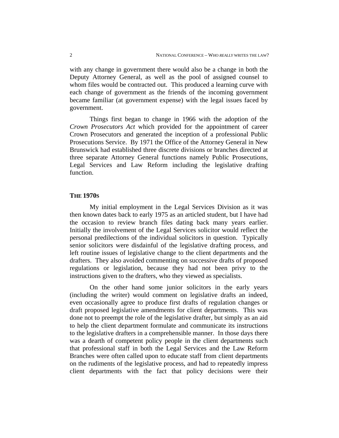with any change in government there would also be a change in both the Deputy Attorney General, as well as the pool of assigned counsel to whom files would be contracted out. This produced a learning curve with each change of government as the friends of the incoming government became familiar (at government expense) with the legal issues faced by government.

Things first began to change in 1966 with the adoption of the *Crown Prosecutors Act* which provided for the appointment of career Crown Prosecutors and generated the inception of a professional Public Prosecutions Service. By 1971 the Office of the Attorney General in New Brunswick had established three discrete divisions or branches directed at three separate Attorney General functions namely Public Prosecutions, Legal Services and Law Reform including the legislative drafting function.

#### **THE 1970S**

My initial employment in the Legal Services Division as it was then known dates back to early 1975 as an articled student, but I have had the occasion to review branch files dating back many years earlier. Initially the involvement of the Legal Services solicitor would reflect the personal predilections of the individual solicitors in question. Typically senior solicitors were disdainful of the legislative drafting process, and left routine issues of legislative change to the client departments and the drafters. They also avoided commenting on successive drafts of proposed regulations or legislation, because they had not been privy to the instructions given to the drafters, who they viewed as specialists.

On the other hand some junior solicitors in the early years (including the writer) would comment on legislative drafts an indeed, even occasionally agree to produce first drafts of regulation changes or draft proposed legislative amendments for client departments. This was done not to preempt the role of the legislative drafter, but simply as an aid to help the client department formulate and communicate its instructions to the legislative drafters in a comprehensible manner. In those days there was a dearth of competent policy people in the client departments such that professional staff in both the Legal Services and the Law Reform Branches were often called upon to educate staff from client departments on the rudiments of the legislative process, and had to repeatedly impress client departments with the fact that policy decisions were their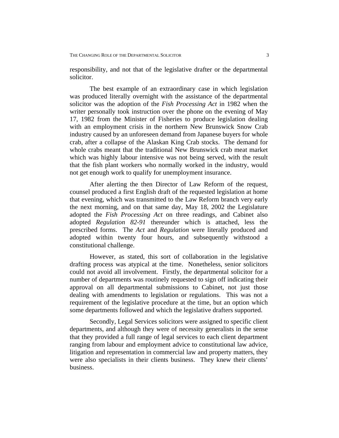responsibility, and not that of the legislative drafter or the departmental solicitor.

The best example of an extraordinary case in which legislation was produced literally overnight with the assistance of the departmental solicitor was the adoption of the *Fish Processing Act* in 1982 when the writer personally took instruction over the phone on the evening of May 17, 1982 from the Minister of Fisheries to produce legislation dealing with an employment crisis in the northern New Brunswick Snow Crab industry caused by an unforeseen demand from Japanese buyers for whole crab, after a collapse of the Alaskan King Crab stocks. The demand for whole crabs meant that the traditional New Brunswick crab meat market which was highly labour intensive was not being served, with the result that the fish plant workers who normally worked in the industry, would not get enough work to qualify for unemployment insurance.

After alerting the then Director of Law Reform of the request, counsel produced a first English draft of the requested legislation at home that evening, which was transmitted to the Law Reform branch very early the next morning, and on that same day, May 18, 2002 the Legislature adopted the *Fish Processing Act* on three readings, and Cabinet also adopted *Regulation 82-91* thereunder which is attached, less the prescribed forms. The *Act* and *Regulation* were literally produced and adopted within twenty four hours, and subsequently withstood a constitutional challenge.

However, as stated, this sort of collaboration in the legislative drafting process was atypical at the time. Nonetheless, senior solicitors could not avoid all involvement. Firstly, the departmental solicitor for a number of departments was routinely requested to sign off indicating their approval on all departmental submissions to Cabinet, not just those dealing with amendments to legislation or regulations. This was not a requirement of the legislative procedure at the time, but an option which some departments followed and which the legislative drafters supported.

Secondly, Legal Services solicitors were assigned to specific client departments, and although they were of necessity generalists in the sense that they provided a full range of legal services to each client department ranging from labour and employment advice to constitutional law advice, litigation and representation in commercial law and property matters, they were also specialists in their clients business. They knew their clients' business.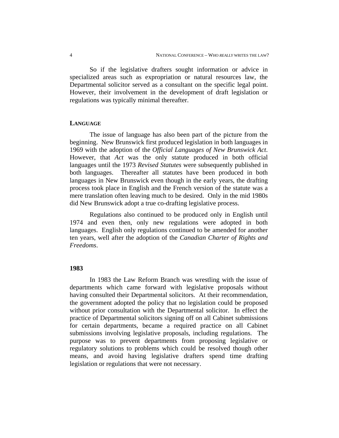So if the legislative drafters sought information or advice in specialized areas such as expropriation or natural resources law, the Departmental solicitor served as a consultant on the specific legal point. However, their involvement in the development of draft legislation or regulations was typically minimal thereafter.

#### **LANGUAGE**

The issue of language has also been part of the picture from the beginning. New Brunswick first produced legislation in both languages in 1969 with the adoption of the *Official Languages of New Brunswick Act*. However, that *Act* was the only statute produced in both official languages until the 1973 *Revised Statutes* were subsequently published in both languages. Thereafter all statutes have been produced in both languages in New Brunswick even though in the early years, the drafting process took place in English and the French version of the statute was a mere translation often leaving much to be desired. Only in the mid 1980s did New Brunswick adopt a true co-drafting legislative process.

Regulations also continued to be produced only in English until 1974 and even then, only new regulations were adopted in both languages. English only regulations continued to be amended for another ten years, well after the adoption of the *Canadian Charter of Rights and Freedoms*.

## **1983**

In 1983 the Law Reform Branch was wrestling with the issue of departments which came forward with legislative proposals without having consulted their Departmental solicitors. At their recommendation, the government adopted the policy that no legislation could be proposed without prior consultation with the Departmental solicitor. In effect the practice of Departmental solicitors signing off on all Cabinet submissions for certain departments, became a required practice on all Cabinet submissions involving legislative proposals, including regulations. The purpose was to prevent departments from proposing legislative or regulatory solutions to problems which could be resolved though other means, and avoid having legislative drafters spend time drafting legislation or regulations that were not necessary.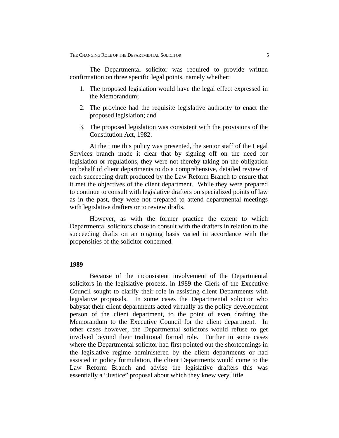The Departmental solicitor was required to provide written confirmation on three specific legal points, namely whether:

- 1. The proposed legislation would have the legal effect expressed in the Memorandum;
- 2. The province had the requisite legislative authority to enact the proposed legislation; and
- 3. The proposed legislation was consistent with the provisions of the Constitution Act, 1982.

At the time this policy was presented, the senior staff of the Legal Services branch made it clear that by signing off on the need for legislation or regulations, they were not thereby taking on the obligation on behalf of client departments to do a comprehensive, detailed review of each succeeding draft produced by the Law Reform Branch to ensure that it met the objectives of the client department. While they were prepared to continue to consult with legislative drafters on specialized points of law as in the past, they were not prepared to attend departmental meetings with legislative drafters or to review drafts.

However, as with the former practice the extent to which Departmental solicitors chose to consult with the drafters in relation to the succeeding drafts on an ongoing basis varied in accordance with the propensities of the solicitor concerned.

#### **1989**

Because of the inconsistent involvement of the Departmental solicitors in the legislative process, in 1989 the Clerk of the Executive Council sought to clarify their role in assisting client Departments with legislative proposals. In some cases the Departmental solicitor who babysat their client departments acted virtually as the policy development person of the client department, to the point of even drafting the Memorandum to the Executive Council for the client department. In other cases however, the Departmental solicitors would refuse to get involved beyond their traditional formal role. Further in some cases where the Departmental solicitor had first pointed out the shortcomings in the legislative regime administered by the client departments or had assisted in policy formulation, the client Departments would come to the Law Reform Branch and advise the legislative drafters this was essentially a "Justice" proposal about which they knew very little.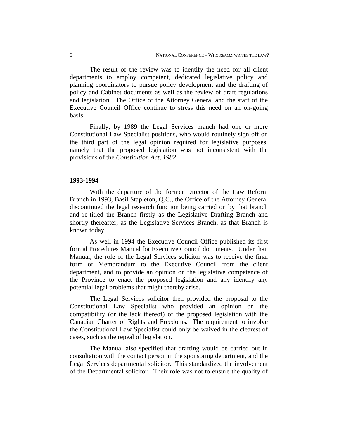The result of the review was to identify the need for all client departments to employ competent, dedicated legislative policy and planning coordinators to pursue policy development and the drafting of policy and Cabinet documents as well as the review of draft regulations and legislation. The Office of the Attorney General and the staff of the Executive Council Office continue to stress this need on an on-going basis.

Finally, by 1989 the Legal Services branch had one or more Constitutional Law Specialist positions, who would routinely sign off on the third part of the legal opinion required for legislative purposes, namely that the proposed legislation was not inconsistent with the provisions of the *Constitution Act, 1982*.

#### **1993-1994**

With the departure of the former Director of the Law Reform Branch in 1993, Basil Stapleton, Q.C., the Office of the Attorney General discontinued the legal research function being carried on by that branch and re-titled the Branch firstly as the Legislative Drafting Branch and shortly thereafter, as the Legislative Services Branch, as that Branch is known today.

As well in 1994 the Executive Council Office published its first formal Procedures Manual for Executive Council documents. Under than Manual, the role of the Legal Services solicitor was to receive the final form of Memorandum to the Executive Council from the client department, and to provide an opinion on the legislative competence of the Province to enact the proposed legislation and any identify any potential legal problems that might thereby arise.

The Legal Services solicitor then provided the proposal to the Constitutional Law Specialist who provided an opinion on the compatibility (or the lack thereof) of the proposed legislation with the Canadian Charter of Rights and Freedoms. The requirement to involve the Constitutional Law Specialist could only be waived in the clearest of cases, such as the repeal of legislation.

The Manual also specified that drafting would be carried out in consultation with the contact person in the sponsoring department, and the Legal Services departmental solicitor. This standardized the involvement of the Departmental solicitor. Their role was not to ensure the quality of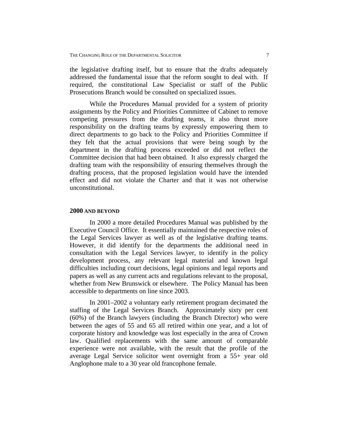the legislative drafting itself, but to ensure that the drafts adequately addressed the fundamental issue that the reform sought to deal with. If required, the constitutional Law Specialist or staff of the Public Prosecutions Branch would be consulted on specialized issues.

While the Procedures Manual provided for a system of priority assignments by the Policy and Priorities Committee of Cabinet to remove competing pressures from the drafting teams, it also thrust more responsibility on the drafting teams by expressly empowering them to direct departments to go back to the Policy and Priorities Committee if they felt that the actual provisions that were being sough by the department in the drafting process exceeded or did not reflect the Committee decision that had been obtained. It also expressly charged the drafting team with the responsibility of ensuring themselves through the drafting process, that the proposed legislation would have the intended effect and did not violate the Charter and that it was not otherwise unconstitutional.

# **2000 AND BEYOND**

In 2000 a more detailed Procedures Manual was published by the Executive Council Office. It essentially maintained the respective roles of the Legal Services lawyer as well as of the legislative drafting teams. However, it did identify for the departments the additional need in consultation with the Legal Services lawyer, to identify in the policy development process, any relevant legal material and known legal difficulties including court decisions, legal opinions and legal reports and papers as well as any current acts and regulations relevant to the proposal, whether from New Brunswick or elsewhere. The Policy Manual has been accessible to departments on line since 2003.

In 2001–2002 a voluntary early retirement program decimated the staffing of the Legal Services Branch. Approximately sixty per cent (60%) of the Branch lawyers (including the Branch Director) who were between the ages of 55 and 65 all retired within one year, and a lot of corporate history and knowledge was lost especially in the area of Crown law. Qualified replacements with the same amount of comparable experience were not available, with the result that the profile of the average Legal Service solicitor went overnight from a 55+ year old Anglophone male to a 30 year old francophone female.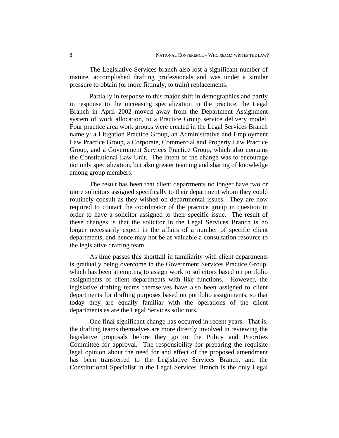The Legislative Services branch also lost a significant number of mature, accomplished drafting professionals and was under a similar pressure to obtain (or more fittingly, to train) replacements.

Partially in response to this major shift in demographics and partly in response to the increasing specialization in the practice, the Legal Branch in April 2002 moved away from the Department Assignment system of work allocation, to a Practice Group service delivery model. Four practice area work groups were created in the Legal Services Branch namely: a Litigation Practice Group, an Administrative and Employment Law Practice Group, a Corporate, Commercial and Property Law Practice Group, and a Government Services Practice Group, which also contains the Constitutional Law Unit. The intent of the change was to encourage not only specialization, but also greater teaming and sharing of knowledge among group members.

The result has been that client departments no longer have two or more solicitors assigned specifically to their department whom they could routinely consult as they wished on departmental issues. They are now required to contact the coordinator of the practice group in question in order to have a solicitor assigned to their specific issue. The result of these changes is that the solicitor in the Legal Services Branch is no longer necessarily expert in the affairs of a number of specific client departments, and hence may not be as valuable a consultation resource to the legislative drafting team.

As time passes this shortfall in familiarity with client departments is gradually being overcome in the Government Services Practice Group, which has been attempting to assign work to solicitors based on portfolio assignments of client departments with like functions. However, the legislative drafting teams themselves have also been assigned to client departments for drafting purposes based on portfolio assignments, so that today they are equally familiar with the operations of the client departments as are the Legal Services solicitors.

One final significant change has occurred in recent years. That is, the drafting teams themselves are more directly involved in reviewing the legislative proposals before they go to the Policy and Priorities Committee for approval. The responsibility for preparing the requisite legal opinion about the need for and effect of the proposed amendment has been transferred to the Legislative Services Branch, and the Constitutional Specialist in the Legal Services Branch is the only Legal